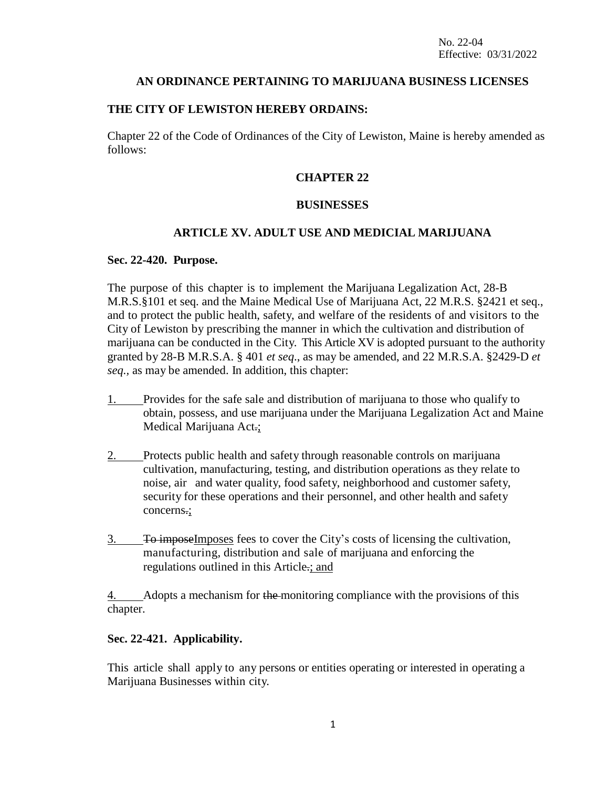### **AN ORDINANCE PERTAINING TO MARIJUANA BUSINESS LICENSES**

#### **THE CITY OF LEWISTON HEREBY ORDAINS:**

Chapter 22 of the Code of Ordinances of the City of Lewiston, Maine is hereby amended as follows:

### **CHAPTER 22**

### **BUSINESSES**

### **ARTICLE XV. ADULT USE AND MEDICIAL MARIJUANA**

#### **Sec. 22-420. Purpose.**

The purpose of this chapter is to implement the Marijuana Legalization Act, 28-B M.R.S.§101 et seq. and the Maine Medical Use of Marijuana Act, 22 M.R.S. §2421 et seq., and to protect the public health, safety, and welfare of the residents of and visitors to the City of Lewiston by prescribing the manner in which the cultivation and distribution of marijuana can be conducted in the City. This Article XV is adopted pursuant to the authority granted by 28-B M.R.S.A. § 401 *et seq*., as may be amended, and 22 M.R.S.A. §2429-D *et seq.,* as may be amended. In addition, this chapter:

- 1. Provides for the safe sale and distribution of marijuana to those who qualify to obtain, possess, and use marijuana under the Marijuana Legalization Act and Maine Medical Marijuana Act.;
- 2. Protects public health and safety through reasonable controls on marijuana cultivation, manufacturing, testing, and distribution operations as they relate to noise, air and water quality, food safety, neighborhood and customer safety, security for these operations and their personnel, and other health and safety concerns.;
- 3. To imposeImposes fees to cover the City's costs of licensing the cultivation, manufacturing, distribution and sale of marijuana and enforcing the regulations outlined in this Article.; and

Adopts a mechanism for the monitoring compliance with the provisions of this chapter.

### **Sec. 22-421. Applicability.**

This article shall apply to any persons or entities operating or interested in operating a Marijuana Businesses within city.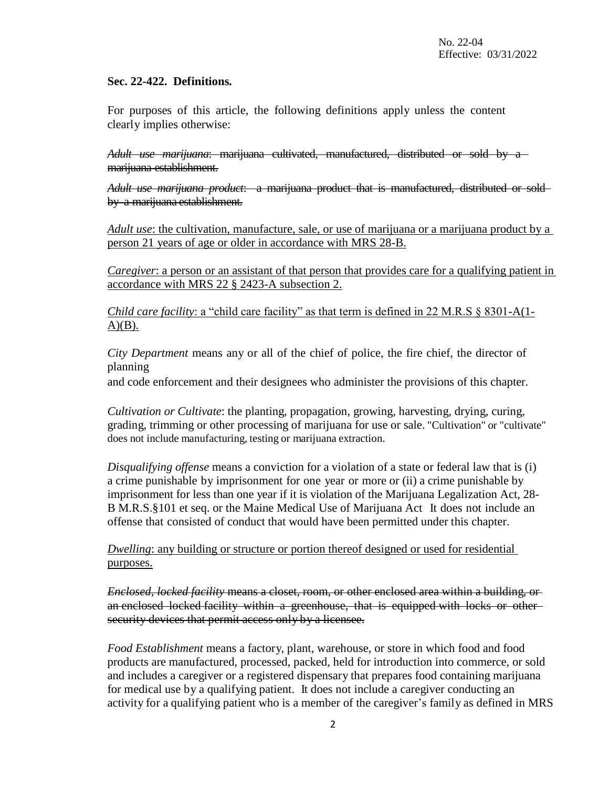### **Sec. 22-422. Definitions.**

For purposes of this article, the following definitions apply unless the content clearly implies otherwise:

*Adult use marijuana*: marijuana cultivated, manufactured, distributed or sold by a marijuana establishment.

*Adult use marijuana product*: a marijuana product that is manufactured, distributed or sold by a marijuana establishment.

*Adult use*: the cultivation, manufacture, sale, or use of marijuana or a marijuana product by a person 21 years of age or older in accordance with MRS 28-B.

*Caregiver*: a person or an assistant of that person that provides care for a qualifying patient in accordance with MRS 22 § 2423-A subsection 2.

*Child care facility:* a "child care facility" as that term is defined in 22 M.R.S § 8301-A(1- $A)(B)$ .

*City Department* means any or all of the chief of police, the fire chief, the director of planning

and code enforcement and their designees who administer the provisions of this chapter.

*Cultivation or Cultivate*: the planting, propagation, growing, harvesting, drying, curing, grading, trimming or other processing of marijuana for use or sale. "Cultivation" or "cultivate" does not include manufacturing, testing or marijuana extraction.

*Disqualifying offense* means a conviction for a violation of a state or federal law that is (i) a crime punishable by imprisonment for one year or more or (ii) a crime punishable by imprisonment for less than one year if it is violation of the Marijuana Legalization Act, 28- B M.R.S.§101 et seq. or the Maine Medical Use of Marijuana Act It does not include an offense that consisted of conduct that would have been permitted under this chapter.

*Dwelling*: any building or structure or portion thereof designed or used for residential purposes.

*Enclosed, locked facility* means a closet, room, or other enclosed area within a building, or an enclosed locked facility within a greenhouse, that is equipped with locks or other security devices that permit access only by a licensee.

*Food Establishment* means a factory, plant, warehouse, or store in which food and food products are manufactured, processed, packed, held for introduction into commerce, or sold and includes a caregiver or a registered dispensary that prepares food containing marijuana for medical use by a qualifying patient. It does not include a caregiver conducting an activity for a qualifying patient who is a member of the caregiver's family as defined in MRS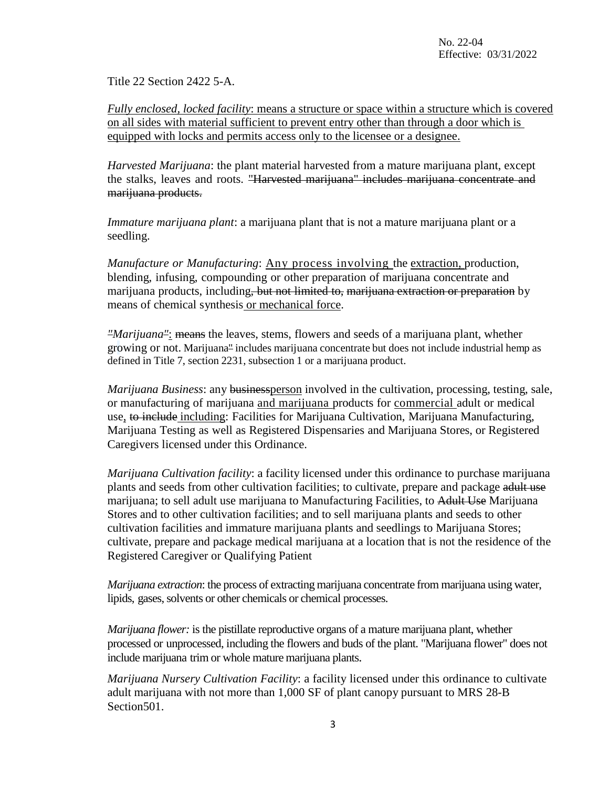Title 22 Section 2422 5-A.

*Fully enclosed, locked facility*: means a structure or space within a structure which is covered on all sides with material sufficient to prevent entry other than through a door which is equipped with locks and permits access only to the licensee or a designee.

*Harvested Marijuana*: the plant material harvested from a mature marijuana plant, except the stalks, leaves and roots. "Harvested marijuana" includes marijuana concentrate and marijuana products.

*Immature marijuana plant*: a marijuana plant that is not a mature marijuana plant or a seedling.

*Manufacture or Manufacturing*: Any process involving the extraction, production, blending, infusing, compounding or other preparation of marijuana concentrate and marijuana products, including<del>, but not limited to, marijuana extraction or preparation</del> by means of chemical synthesis or mechanical force.

*"Marijuana"*: means the leaves, stems, flowers and seeds of a marijuana plant, whether growing or not. Marijuana" includes marijuana concentrate but does not include industrial hemp as defined in Title 7, section 2231, subsection 1 or a marijuana product.

*Marijuana Business*: any businessperson involved in the cultivation, processing, testing, sale, or manufacturing of marijuana and marijuana products for commercial adult or medical use, to include including: Facilities for Marijuana Cultivation, Marijuana Manufacturing, Marijuana Testing as well as Registered Dispensaries and Marijuana Stores, or Registered Caregivers licensed under this Ordinance.

*Marijuana Cultivation facility*: a facility licensed under this ordinance to purchase marijuana plants and seeds from other cultivation facilities; to cultivate, prepare and package adult use marijuana; to sell adult use marijuana to Manufacturing Facilities, to Adult Use Marijuana Stores and to other cultivation facilities; and to sell marijuana plants and seeds to other cultivation facilities and immature marijuana plants and seedlings to Marijuana Stores; cultivate, prepare and package medical marijuana at a location that is not the residence of the Registered Caregiver or Qualifying Patient

*Marijuana extraction*: the process of extracting marijuana concentrate from marijuana using water, lipids, gases, solvents or other chemicals or chemical processes.

*Marijuana flower:* is the pistillate reproductive organs of a mature marijuana plant, whether processed or unprocessed, including the flowers and buds of the plant. "Marijuana flower" does not include marijuana trim or whole mature marijuana plants.

*Marijuana Nursery Cultivation Facility*: a facility licensed under this ordinance to cultivate adult marijuana with not more than 1,000 SF of plant canopy pursuant to MRS 28-B Section<sub>501</sub>.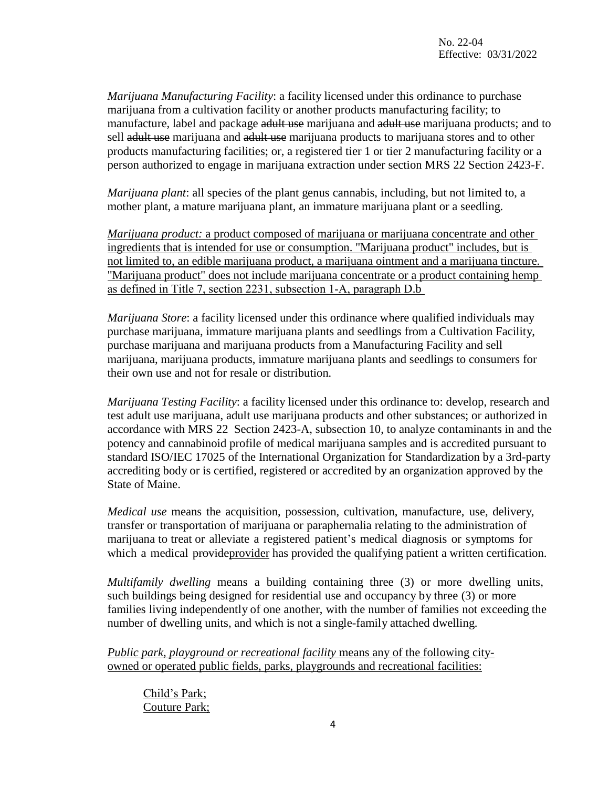*Marijuana Manufacturing Facility*: a facility licensed under this ordinance to purchase marijuana from a cultivation facility or another products manufacturing facility; to manufacture, label and package adult use marijuana and adult use marijuana products; and to sell adult use marijuana and adult use marijuana products to marijuana stores and to other products manufacturing facilities; or, a registered tier 1 or tier 2 manufacturing facility or a person authorized to engage in marijuana extraction under section MRS 22 Section 2423-F.

*Marijuana plant*: all species of the plant genus cannabis, including, but not limited to, a mother plant, a mature marijuana plant, an immature marijuana plant or a seedling.

*Marijuana product:* a product composed of marijuana or marijuana concentrate and other ingredients that is intended for use or consumption. "Marijuana product" includes, but is not limited to, an edible marijuana product, a marijuana ointment and a marijuana tincture. "Marijuana product" does not include marijuana concentrate or a product containing hemp as defined in Title 7, section 2231, subsection 1‑A, paragraph D.b

*Marijuana Store*: a facility licensed under this ordinance where qualified individuals may purchase marijuana, immature marijuana plants and seedlings from a Cultivation Facility, purchase marijuana and marijuana products from a Manufacturing Facility and sell marijuana, marijuana products, immature marijuana plants and seedlings to consumers for their own use and not for resale or distribution*.*

*Marijuana Testing Facility*: a facility licensed under this ordinance to: develop, research and test adult use marijuana, adult use marijuana products and other substances; or authorized in accordance with MRS 22 Section 2423-A, subsection 10, to analyze contaminants in and the potency and cannabinoid profile of medical marijuana samples and is accredited pursuant to standard ISO/IEC 17025 of the International Organization for Standardization by a 3rd-party accrediting body or is certified, registered or accredited by an organization approved by the State of Maine.

*Medical use* means the acquisition, possession, cultivation, manufacture, use, delivery, transfer or transportation of marijuana or paraphernalia relating to the administration of marijuana to treat or alleviate a registered patient's medical diagnosis or symptoms for which a medical provideprovider has provided the qualifying patient a written certification.

*Multifamily dwelling* means a building containing three (3) or more dwelling units, such buildings being designed for residential use and occupancy by three (3) or more families living independently of one another, with the number of families not exceeding the number of dwelling units, and which is not a single-family attached dwelling.

*Public park, playground or recreational facility* means any of the following cityowned or operated public fields, parks, playgrounds and recreational facilities:

Child's Park; Couture Park;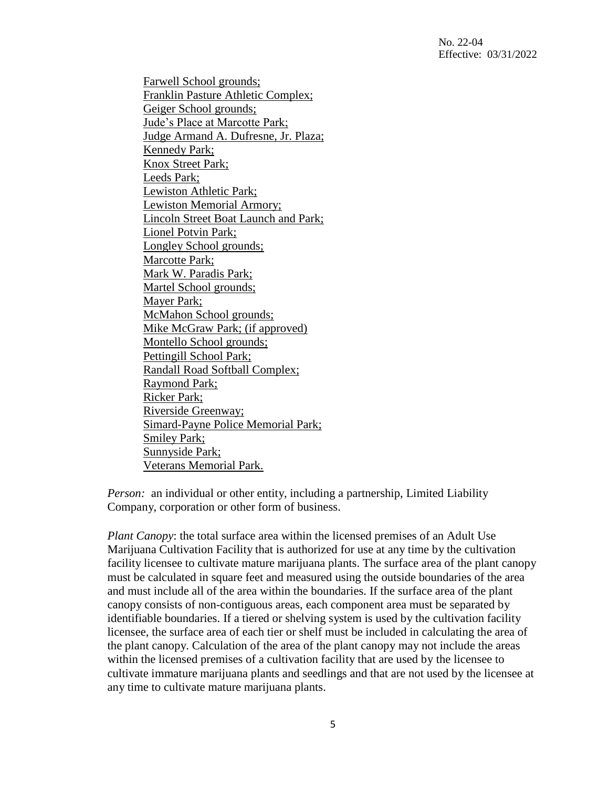No. 22-04 Effective: 03/31/2022

Farwell School grounds; Franklin Pasture Athletic Complex; Geiger School grounds; Jude's Place at Marcotte Park; Judge Armand A. Dufresne, Jr. Plaza; Kennedy Park; Knox Street Park; Leeds Park; Lewiston Athletic Park; Lewiston Memorial Armory; Lincoln Street Boat Launch and Park; Lionel Potvin Park; Longley School grounds; Marcotte Park; Mark W. Paradis Park; Martel School grounds; Mayer Park; McMahon School grounds; Mike McGraw Park; (if approved) Montello School grounds; Pettingill School Park; Randall Road Softball Complex; Raymond Park; Ricker Park; Riverside Greenway; Simard-Payne Police Memorial Park; Smiley Park; Sunnyside Park; Veterans Memorial Park.

*Person:* an individual or other entity, including a partnership, Limited Liability Company, corporation or other form of business.

*Plant Canopy*: the total surface area within the licensed premises of an Adult Use Marijuana Cultivation Facility that is authorized for use at any time by the cultivation facility licensee to cultivate mature marijuana plants. The surface area of the plant canopy must be calculated in square feet and measured using the outside boundaries of the area and must include all of the area within the boundaries. If the surface area of the plant canopy consists of non-contiguous areas, each component area must be separated by identifiable boundaries. If a tiered or shelving system is used by the cultivation facility licensee, the surface area of each tier or shelf must be included in calculating the area of the plant canopy. Calculation of the area of the plant canopy may not include the areas within the licensed premises of a cultivation facility that are used by the licensee to cultivate immature marijuana plants and seedlings and that are not used by the licensee at any time to cultivate mature marijuana plants.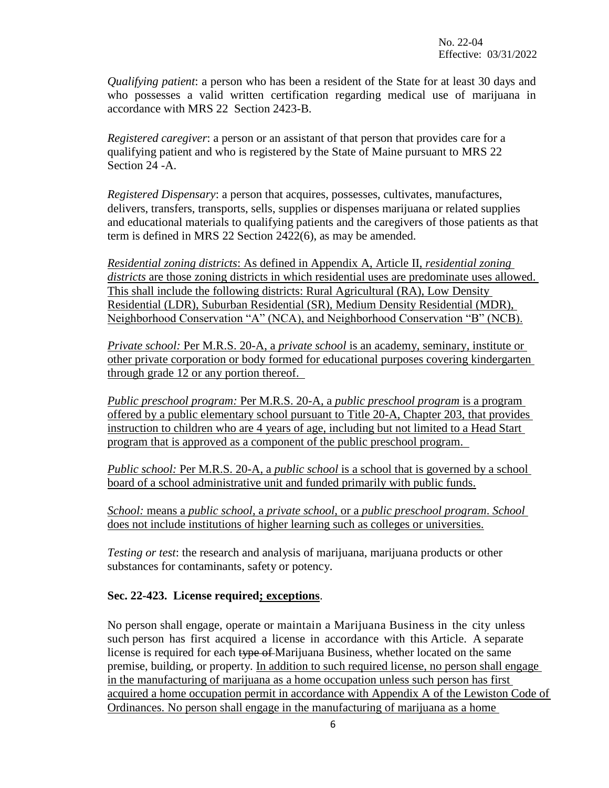*Qualifying patient*: a person who has been a resident of the State for at least 30 days and who possesses a valid written certification regarding medical use of marijuana in accordance with MRS 22 Section 2423-B.

*Registered caregiver*: a person or an assistant of that person that provides care for a qualifying patient and who is registered by the State of Maine pursuant to MRS 22 Section 24 -A.

*Registered Dispensary*: a person that acquires, possesses, cultivates, manufactures, delivers, transfers, transports, sells, supplies or dispenses marijuana or related supplies and educational materials to qualifying patients and the caregivers of those patients as that term is defined in MRS 22 Section 2422(6), as may be amended.

*Residential zoning districts*: As defined in Appendix A, Article II, *residential zoning districts* are those zoning districts in which residential uses are predominate uses allowed. This shall include the following districts: Rural Agricultural (RA), Low Density Residential (LDR), Suburban Residential (SR), Medium Density Residential (MDR), Neighborhood Conservation "A" (NCA), and Neighborhood Conservation "B" (NCB).

*Private school:* Per M.R.S. 20-A, a *private school* is an academy, seminary, institute or other private corporation or body formed for educational purposes covering kindergarten through grade 12 or any portion thereof.

*Public preschool program:* Per M.R.S. 20-A, a *public preschool program* is a program offered by a public elementary school pursuant to Title 20-A, Chapter 203, that provides instruction to children who are 4 years of age, including but not limited to a Head Start program that is approved as a component of the public preschool program.

*Public school:* Per M.R.S. 20-A, a *public school* is a school that is governed by a school board of a school administrative unit and funded primarily with public funds.

*School:* means a *public school*, a *private school*, or a *public preschool program*. *School* does not include institutions of higher learning such as colleges or universities.

*Testing or test*: the research and analysis of marijuana, marijuana products or other substances for contaminants, safety or potency.

# **Sec. 22-423. License required; exceptions**.

No person shall engage, operate or maintain a Marijuana Business in the city unless such person has first acquired a license in accordance with this Article. A separate license is required for each type of Marijuana Business, whether located on the same premise, building, or property. In addition to such required license, no person shall engage in the manufacturing of marijuana as a home occupation unless such person has first acquired a home occupation permit in accordance with Appendix A of the Lewiston Code of Ordinances. No person shall engage in the manufacturing of marijuana as a home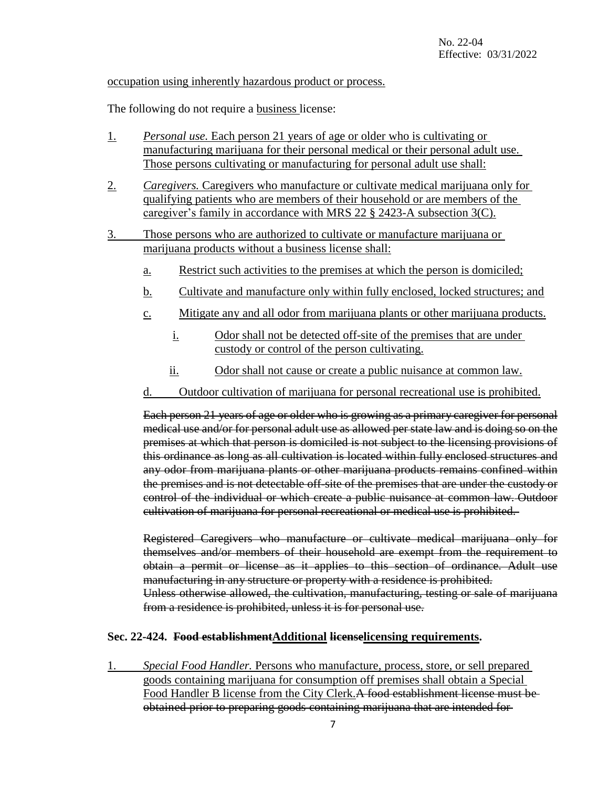# occupation using inherently hazardous product or process.

The following do not require a **business** license:

- 1. *Personal use.* Each person 21 years of age or older who is cultivating or manufacturing marijuana for their personal medical or their personal adult use. Those persons cultivating or manufacturing for personal adult use shall:
- 2. *Caregivers.* Caregivers who manufacture or cultivate medical marijuana only for qualifying patients who are members of their household or are members of the caregiver's family in accordance with MRS 22 § 2423-A subsection 3(C).
- 3. Those persons who are authorized to cultivate or manufacture marijuana or marijuana products without a business license shall:
	- a. Restrict such activities to the premises at which the person is domiciled;
	- b. Cultivate and manufacture only within fully enclosed, locked structures; and
	- c. Mitigate any and all odor from marijuana plants or other marijuana products.
		- i. Odor shall not be detected off-site of the premises that are under custody or control of the person cultivating.
		- ii. Odor shall not cause or create a public nuisance at common law.
	- d. Outdoor cultivation of marijuana for personal recreational use is prohibited.

Each person 21 years of age or older who is growing as a primary caregiver for personal medical use and/or for personal adult use as allowed per state law and is doing so on the premises at which that person is domiciled is not subject to the licensing provisions of this ordinance as long as all cultivation is located within fully enclosed structures and any odor from marijuana plants or other marijuana products remains confined within the premises and is not detectable off-site of the premises that are under the custody or control of the individual or which create a public nuisance at common law. Outdoor cultivation of marijuana for personal recreational or medical use is prohibited.

Registered Caregivers who manufacture or cultivate medical marijuana only for themselves and/or members of their household are exempt from the requirement to obtain a permit or license as it applies to this section of ordinance. Adult use manufacturing in any structure or property with a residence is prohibited. Unless otherwise allowed, the cultivation, manufacturing, testing or sale of marijuana from a residence is prohibited, unless it is for personal use.

#### **Sec. 22-424. Food establishmentAdditional licenselicensing requirements.**

1. *Special Food Handler.* Persons who manufacture, process, store, or sell prepared goods containing marijuana for consumption off premises shall obtain a Special Food Handler B license from the City Clerk.A food establishment license must be obtained prior to preparing goods containing marijuana that are intended for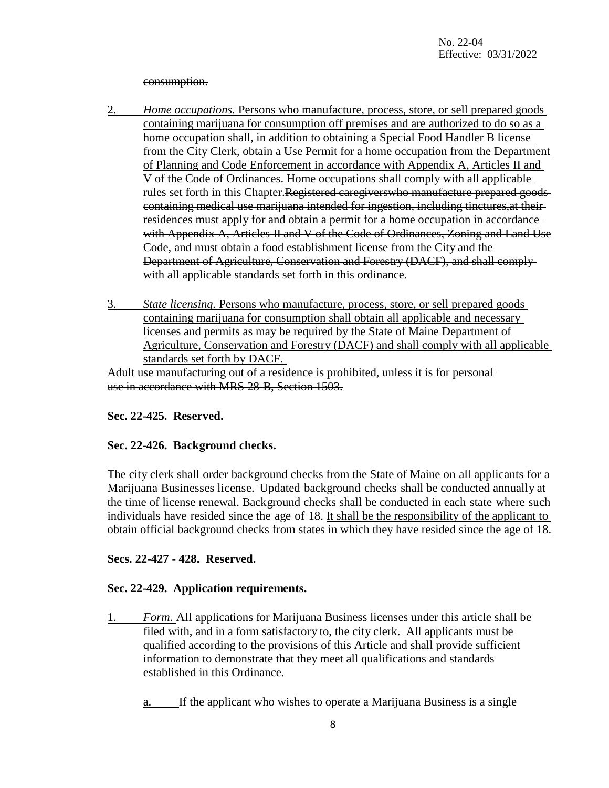#### consumption.

- 2. *Home occupations.* Persons who manufacture, process, store, or sell prepared goods containing marijuana for consumption off premises and are authorized to do so as a home occupation shall, in addition to obtaining a Special Food Handler B license from the City Clerk, obtain a Use Permit for a home occupation from the Department of Planning and Code Enforcement in accordance with Appendix A, Articles II and V of the Code of Ordinances. Home occupations shall comply with all applicable rules set forth in this Chapter.Registered caregiverswho manufacture prepared goods containing medical use marijuana intended for ingestion, including tinctures,at their residences must apply for and obtain a permit for a home occupation in accordance with Appendix A, Articles II and V of the Code of Ordinances, Zoning and Land Use Code, and must obtain a food establishment license from the City and the Department of Agriculture, Conservation and Forestry (DACF), and shall comply with all applicable standards set forth in this ordinance.
- 3. *State licensing.* Persons who manufacture, process, store, or sell prepared goods containing marijuana for consumption shall obtain all applicable and necessary licenses and permits as may be required by the State of Maine Department of Agriculture, Conservation and Forestry (DACF) and shall comply with all applicable standards set forth by DACF.

Adult use manufacturing out of a residence is prohibited, unless it is for personal use in accordance with MRS 28-B, Section 1503.

#### **Sec. 22-425. Reserved.**

#### **Sec. 22-426. Background checks.**

The city clerk shall order background checks from the State of Maine on all applicants for a Marijuana Businesses license. Updated background checks shall be conducted annually at the time of license renewal. Background checks shall be conducted in each state where such individuals have resided since the age of 18. It shall be the responsibility of the applicant to obtain official background checks from states in which they have resided since the age of 18.

### **Secs. 22-427 - 428. Reserved.**

#### **Sec. 22-429. Application requirements.**

- 1. *Form.* All applications for Marijuana Business licenses under this article shall be filed with, and in a form satisfactory to, the city clerk. All applicants must be qualified according to the provisions of this Article and shall provide sufficient information to demonstrate that they meet all qualifications and standards established in this Ordinance.
	- a. If the applicant who wishes to operate a Marijuana Business is a single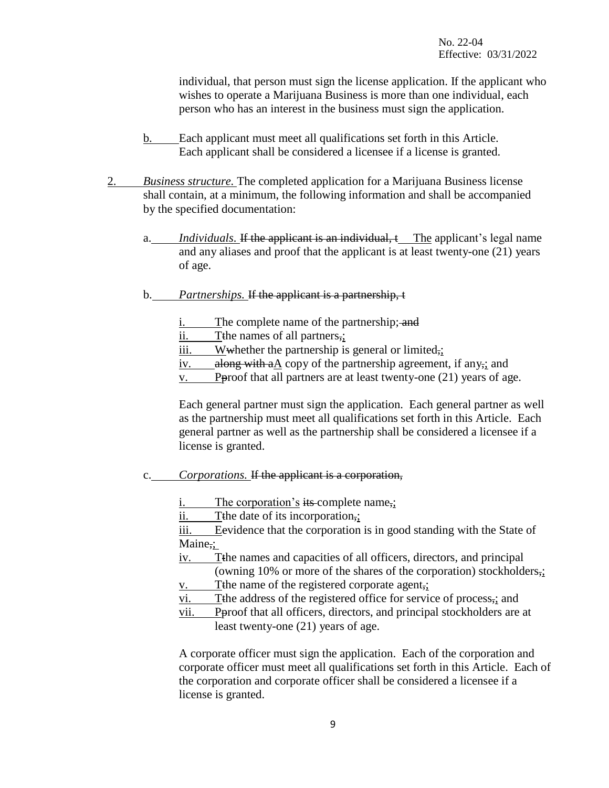individual, that person must sign the license application. If the applicant who wishes to operate a Marijuana Business is more than one individual, each person who has an interest in the business must sign the application.

- b. Each applicant must meet all qualifications set forth in this Article. Each applicant shall be considered a licensee if a license is granted.
- 2. *Business structure.* The completed application for a Marijuana Business license shall contain, at a minimum, the following information and shall be accompanied by the specified documentation:
	- *Individuals.* If the applicant is an individual, t The applicant's legal name and any aliases and proof that the applicant is at least twenty-one (21) years of age.
	- b. *Partnerships.* If the applicant is a partnership, t
		- i. The complete name of the partnership; and
		- ii. Tthe names of all partners,;
		- $\overline{\text{iii.}}$  Wwhether the partnership is general or limited,
		- iv. along with aA copy of the partnership agreement, if any<sub>7</sub>; and
		- $v.$  P P proof that all partners are at least twenty-one  $(21)$  years of age.

Each general partner must sign the application. Each general partner as well as the partnership must meet all qualifications set forth in this Article. Each general partner as well as the partnership shall be considered a licensee if a license is granted.

- c. *Corporations.* If the applicant is a corporation,
	- i. The corporation's its complete name,
	- ii. Tthe date of its incorporation,;

iii. Eevidence that the corporation is in good standing with the State of Maine,:

- iv. Tthe names and capacities of all officers, directors, and principal (owning 10% or more of the shares of the corporation) stockholders,;
- v. Tthe name of the registered corporate agent,;
- vi. Tthe address of the registered office for service of process,; and
- vii. Pproof that all officers, directors, and principal stockholders are at least twenty-one (21) years of age.

A corporate officer must sign the application. Each of the corporation and corporate officer must meet all qualifications set forth in this Article. Each of the corporation and corporate officer shall be considered a licensee if a license is granted.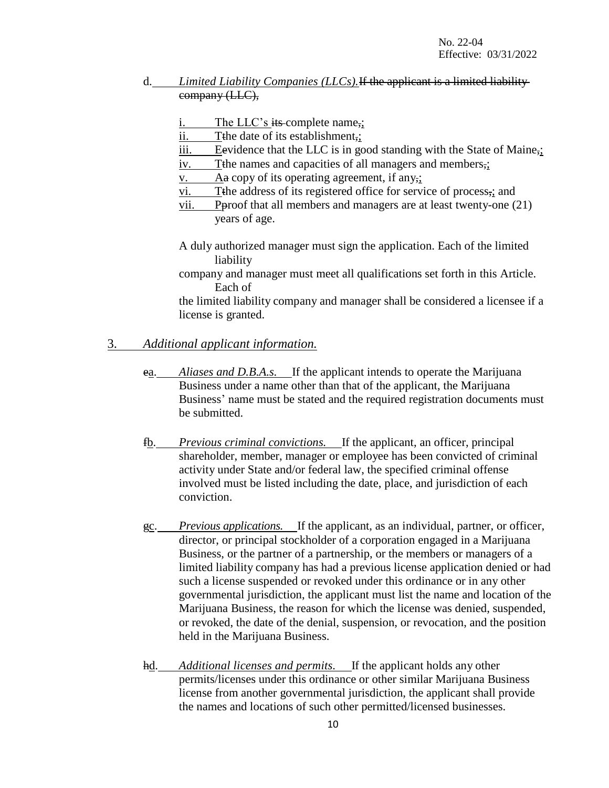# d. *Limited Liability Companies (LLCs).*If the applicant is a limited liability company (LLC),

i. The LLC's its complete name,;

- ii. The date of its establishment,;
- iii. Eevidence that the LLC is in good standing with the State of Maine<sub>7</sub>:
- iv. The names and capacities of all managers and members,;

v. Aa copy of its operating agreement, if any,;

- vi. Tthe address of its registered office for service of process,; and
- vii. Pproof that all members and managers are at least twenty-one (21) years of age.
- A duly authorized manager must sign the application. Each of the limited liability
- company and manager must meet all qualifications set forth in this Article. Each of

the limited liability company and manager shall be considered a licensee if a license is granted.

# 3. *Additional applicant information.*

- ea. *Aliases and D.B.A.s.* If the applicant intends to operate the Marijuana Business under a name other than that of the applicant, the Marijuana Business' name must be stated and the required registration documents must be submitted.
- fb. *Previous criminal convictions.* If the applicant, an officer, principal shareholder, member, manager or employee has been convicted of criminal activity under State and/or federal law, the specified criminal offense involved must be listed including the date, place, and jurisdiction of each conviction.
- gc. *Previous applications.* If the applicant, as an individual, partner, or officer, director, or principal stockholder of a corporation engaged in a Marijuana Business, or the partner of a partnership, or the members or managers of a limited liability company has had a previous license application denied or had such a license suspended or revoked under this ordinance or in any other governmental jurisdiction, the applicant must list the name and location of the Marijuana Business, the reason for which the license was denied, suspended, or revoked, the date of the denial, suspension, or revocation, and the position held in the Marijuana Business.
- hd. *Additional licenses and permits.* If the applicant holds any other permits/licenses under this ordinance or other similar Marijuana Business license from another governmental jurisdiction, the applicant shall provide the names and locations of such other permitted/licensed businesses.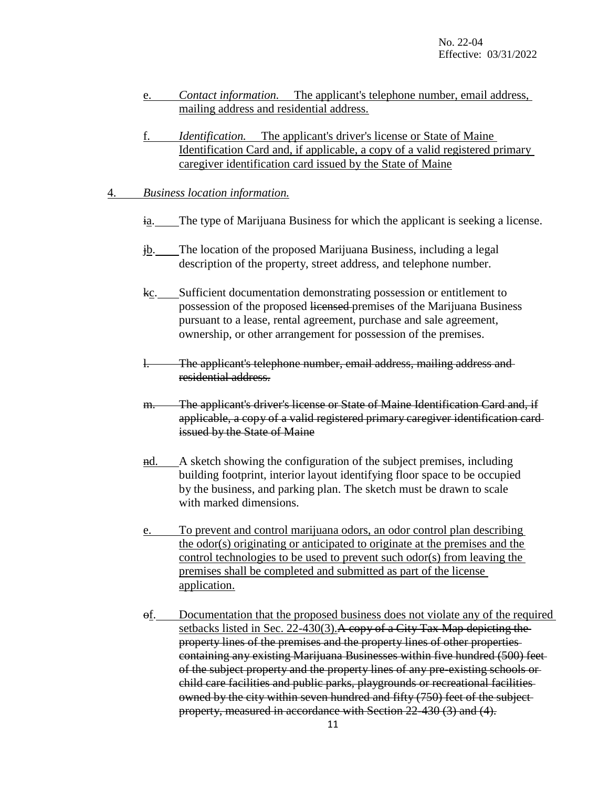- e. *Contact information.* The applicant's telephone number, email address, mailing address and residential address.
- f. *Identification.* The applicant's driver's license or State of Maine Identification Card and, if applicable, a copy of a valid registered primary caregiver identification card issued by the State of Maine

#### 4. *Business location information.*

- ia. The type of Marijuana Business for which the applicant is seeking a license.
- jb. The location of the proposed Marijuana Business, including a legal description of the property, street address, and telephone number.
- kc. Sufficient documentation demonstrating possession or entitlement to possession of the proposed licensed premises of the Marijuana Business pursuant to a lease, rental agreement, purchase and sale agreement, ownership, or other arrangement for possession of the premises.
- The applicant's telephone number, email address, mailing address and residential address.
- m. The applicant's driver's license or State of Maine Identification Card and, if applicable, a copy of a valid registered primary caregiver identification card issued by the State of Maine
- nd. A sketch showing the configuration of the subject premises, including building footprint, interior layout identifying floor space to be occupied by the business, and parking plan. The sketch must be drawn to scale with marked dimensions.
- e. To prevent and control marijuana odors, an odor control plan describing the odor(s) originating or anticipated to originate at the premises and the control technologies to be used to prevent such odor(s) from leaving the premises shall be completed and submitted as part of the license application.
- of. Documentation that the proposed business does not violate any of the required setbacks listed in Sec. 22-430(3). A copy of a City Tax Map depicting the property lines of the premises and the property lines of other properties containing any existing Marijuana Businesses within five hundred (500) feet of the subject property and the property lines of any pre-existing schools or child care facilities and public parks, playgrounds or recreational facilities owned by the city within seven hundred and fifty (750) feet of the subject property, measured in accordance with Section 22-430 (3) and (4).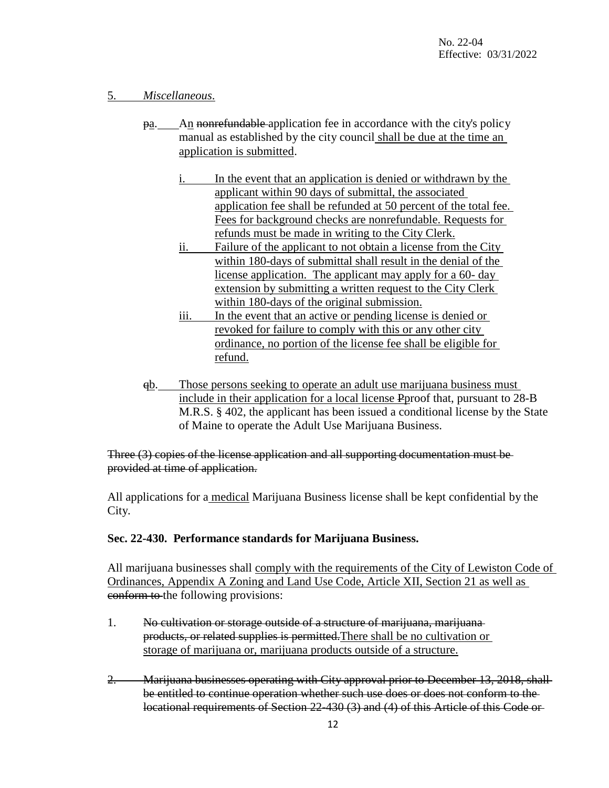# 5. *Miscellaneous*.

- pa. An nonrefundable application fee in accordance with the city's policy manual as established by the city council shall be due at the time an application is submitted.
	- i. In the event that an application is denied or withdrawn by the applicant within 90 days of submittal, the associated application fee shall be refunded at 50 percent of the total fee. Fees for background checks are nonrefundable. Requests for refunds must be made in writing to the City Clerk.
	- ii. Failure of the applicant to not obtain a license from the City within 180-days of submittal shall result in the denial of the license application. The applicant may apply for a 60- day extension by submitting a written request to the City Clerk within 180-days of the original submission.
	- iii. In the event that an active or pending license is denied or revoked for failure to comply with this or any other city ordinance, no portion of the license fee shall be eligible for refund.
- qb. Those persons seeking to operate an adult use marijuana business must include in their application for a local license Pproof that, pursuant to 28-B M.R.S. § 402, the applicant has been issued a conditional license by the State of Maine to operate the Adult Use Marijuana Business.

Three (3) copies of the license application and all supporting documentation must be provided at time of application.

All applications for a medical Marijuana Business license shall be kept confidential by the City.

# **Sec. 22-430. Performance standards for Marijuana Business.**

All marijuana businesses shall comply with the requirements of the City of Lewiston Code of Ordinances, Appendix A Zoning and Land Use Code, Article XII, Section 21 as well as conform to the following provisions:

- 1. No cultivation or storage outside of a structure of marijuana, marijuana products, or related supplies is permitted.There shall be no cultivation or storage of marijuana or, marijuana products outside of a structure.
- 2. Marijuana businesses operating with City approval prior to December 13, 2018, shall be entitled to continue operation whether such use does or does not conform to the locational requirements of Section 22-430 (3) and (4) of this Article of this Code or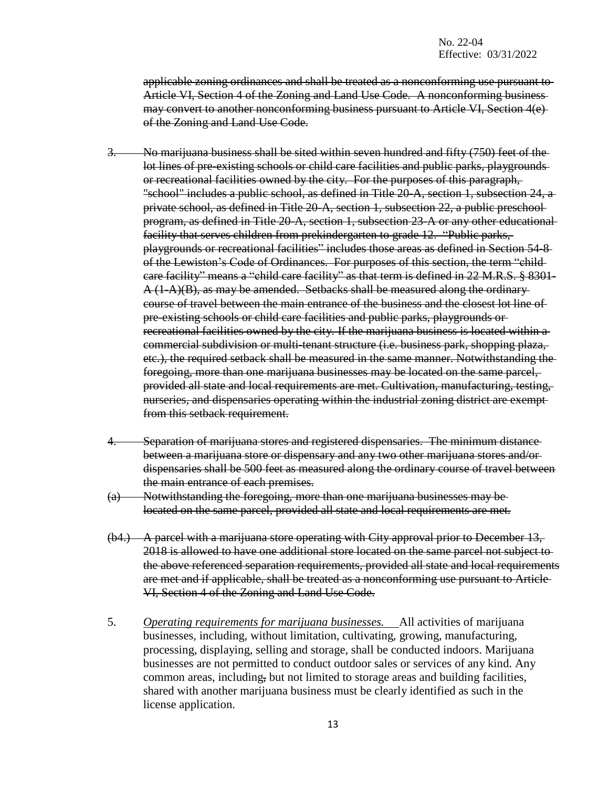applicable zoning ordinances and shall be treated as a nonconforming use pursuant to Article VI, Section 4 of the Zoning and Land Use Code. A nonconforming business may convert to another nonconforming business pursuant to Article VI, Section 4(e) of the Zoning and Land Use Code.

- 3. No marijuana business shall be sited within seven hundred and fifty (750) feet of the lot lines of pre-existing schools or child care facilities and public parks, playgrounds or recreational facilities owned by the city. For the purposes of this paragraph, "school" includes a public school, as defined in Title 20-A, section 1, subsection 24, a private school, as defined in Title 20-A, section 1, subsection 22, a public preschool program, as defined in Title 20-A, section 1, subsection 23-A or any other educational facility that serves children from prekindergarten to grade 12. "Public parks, playgrounds or recreational facilities" includes those areas as defined in Section 54-8 of the Lewiston's Code of Ordinances. For purposes of this section, the term "child care facility" means a "child care facility" as that term is defined in 22 M.R.S. § 8301-  $A(1-A)(B)$ , as may be amended. Setbacks shall be measured along the ordinary course of travel between the main entrance of the business and the closest lot line of pre-existing schools or child care facilities and public parks, playgrounds or recreational facilities owned by the city. If the marijuana business is located within a commercial subdivision or multi-tenant structure (i.e. business park, shopping plaza, etc.), the required setback shall be measured in the same manner. Notwithstanding the foregoing, more than one marijuana businesses may be located on the same parcel, provided all state and local requirements are met. Cultivation, manufacturing, testing, nurseries, and dispensaries operating within the industrial zoning district are exempt from this setback requirement.
- 4. Separation of marijuana stores and registered dispensaries. The minimum distance between a marijuana store or dispensary and any two other marijuana stores and/or dispensaries shall be 500 feet as measured along the ordinary course of travel between the main entrance of each premises.
- (a) Notwithstanding the foregoing, more than one marijuana businesses may be located on the same parcel, provided all state and local requirements are met.
- (b4.) A parcel with a marijuana store operating with City approval prior to December 13, 2018 is allowed to have one additional store located on the same parcel not subject to the above referenced separation requirements, provided all state and local requirements are met and if applicable, shall be treated as a nonconforming use pursuant to Article VI, Section 4 of the Zoning and Land Use Code.
- 5. *Operating requirements for marijuana businesses.* All activities of marijuana businesses, including, without limitation, cultivating, growing, manufacturing, processing, displaying, selling and storage, shall be conducted indoors. Marijuana businesses are not permitted to conduct outdoor sales or services of any kind. Any common areas, including, but not limited to storage areas and building facilities, shared with another marijuana business must be clearly identified as such in the license application.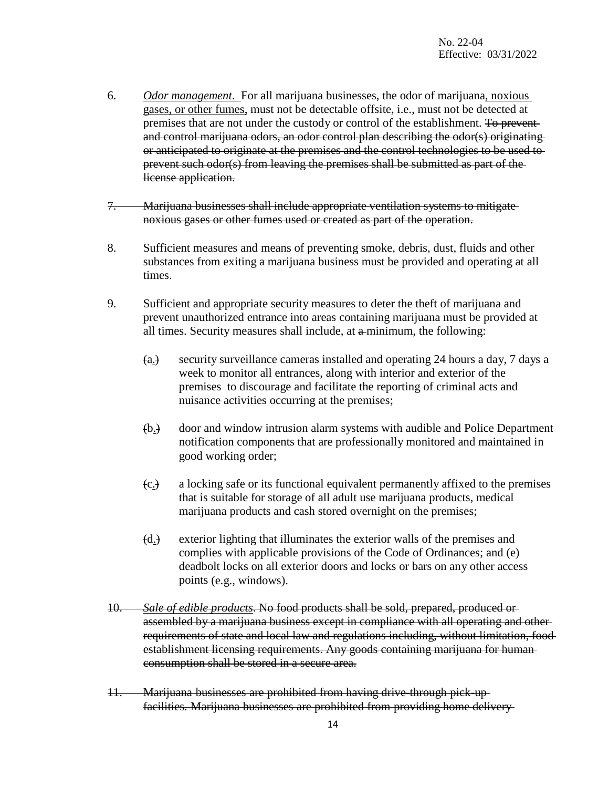- 6. *Odor management*. For all marijuana businesses, the odor of marijuana, noxious gases, or other fumes, must not be detectable offsite, i.e., must not be detected at premises that are not under the custody or control of the establishment. To preventand control marijuana odors, an odor control plan describing the odor(s) originating or anticipated to originate at the premises and the control technologies to be used to prevent such odor(s) from leaving the premises shall be submitted as part of the license application.
- 7. Marijuana businesses shall include appropriate ventilation systems to mitigate noxious gases or other fumes used or created as part of the operation.
- 8. Sufficient measures and means of preventing smoke, debris, dust, fluids and other substances from exiting a marijuana business must be provided and operating at all times.
- 9. Sufficient and appropriate security measures to deter the theft of marijuana and prevent unauthorized entrance into areas containing marijuana must be provided at all times. Security measures shall include, at a minimum, the following:
	- (a.) security surveillance cameras installed and operating 24 hours a day, 7 days a week to monitor all entrances, along with interior and exterior of the premises to discourage and facilitate the reporting of criminal acts and nuisance activities occurring at the premises;
	- (b.) door and window intrusion alarm systems with audible and Police Department notification components that are professionally monitored and maintained in good working order;
	- (c.) a locking safe or its functional equivalent permanently affixed to the premises that is suitable for storage of all adult use marijuana products, medical marijuana products and cash stored overnight on the premises;
	- (d.) exterior lighting that illuminates the exterior walls of the premises and complies with applicable provisions of the Code of Ordinances; and (e) deadbolt locks on all exterior doors and locks or bars on any other access points (e.g., windows).
- 10. *Sale of edible products*. No food products shall be sold, prepared, produced or assembled by a marijuana business except in compliance with all operating and other requirements of state and local law and regulations including, without limitation, food establishment licensing requirements. Any goods containing marijuana for human consumption shall be stored in a secure area.
- 11. Marijuana businesses are prohibited from having drive-through pick-up facilities. Marijuana businesses are prohibited from providing home delivery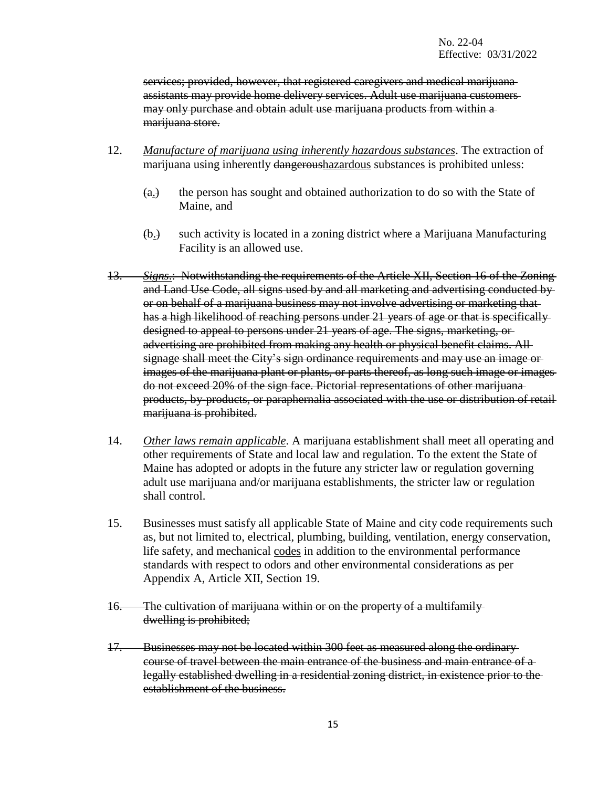services; provided, however, that registered caregivers and medical marijuana assistants may provide home delivery services. Adult use marijuana customers may only purchase and obtain adult use marijuana products from within a marijuana store.

- 12. *Manufacture of marijuana using inherently hazardous substances*. The extraction of marijuana using inherently dangeroushazardous substances is prohibited unless:
	- (a.) the person has sought and obtained authorization to do so with the State of Maine, and
	- (b.) such activity is located in a zoning district where a Marijuana Manufacturing Facility is an allowed use.
- 13. *Signs*.: Notwithstanding the requirements of the Article XII, Section 16 of the Zoning and Land Use Code, all signs used by and all marketing and advertising conducted by or on behalf of a marijuana business may not involve advertising or marketing that has a high likelihood of reaching persons under 21 years of age or that is specifically designed to appeal to persons under 21 years of age. The signs, marketing, or advertising are prohibited from making any health or physical benefit claims. All signage shall meet the City's sign ordinance requirements and may use an image or images of the marijuana plant or plants, or parts thereof, as long such image or images do not exceed 20% of the sign face. Pictorial representations of other marijuana products, by-products, or paraphernalia associated with the use or distribution of retail marijuana is prohibited.
- 14. *Other laws remain applicable*. A marijuana establishment shall meet all operating and other requirements of State and local law and regulation. To the extent the State of Maine has adopted or adopts in the future any stricter law or regulation governing adult use marijuana and/or marijuana establishments, the stricter law or regulation shall control.
- 15. Businesses must satisfy all applicable State of Maine and city code requirements such as, but not limited to, electrical, plumbing, building, ventilation, energy conservation, life safety, and mechanical codes in addition to the environmental performance standards with respect to odors and other environmental considerations as per Appendix A, Article XII, Section 19.
- 16. The cultivation of marijuana within or on the property of a multifamily dwelling is prohibited;
- 17. Businesses may not be located within 300 feet as measured along the ordinary course of travel between the main entrance of the business and main entrance of a legally established dwelling in a residential zoning district, in existence prior to the establishment of the business.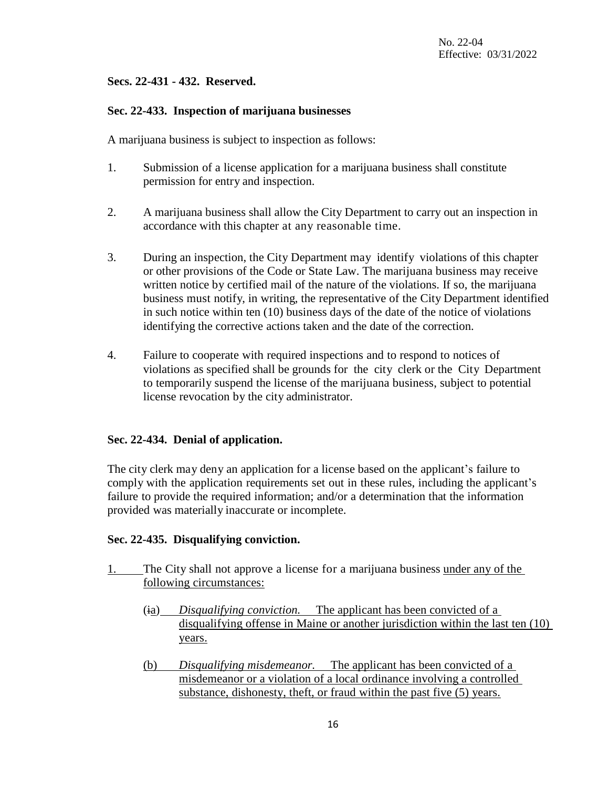## **Secs. 22-431 - 432. Reserved.**

### **Sec. 22-433. Inspection of marijuana businesses**

A marijuana business is subject to inspection as follows:

- 1. Submission of a license application for a marijuana business shall constitute permission for entry and inspection.
- 2. A marijuana business shall allow the City Department to carry out an inspection in accordance with this chapter at any reasonable time.
- 3. During an inspection, the City Department may identify violations of this chapter or other provisions of the Code or State Law. The marijuana business may receive written notice by certified mail of the nature of the violations. If so, the marijuana business must notify, in writing, the representative of the City Department identified in such notice within ten (10) business days of the date of the notice of violations identifying the corrective actions taken and the date of the correction.
- 4. Failure to cooperate with required inspections and to respond to notices of violations as specified shall be grounds for the city clerk or the City Department to temporarily suspend the license of the marijuana business, subject to potential license revocation by the city administrator.

### **Sec. 22-434. Denial of application.**

The city clerk may deny an application for a license based on the applicant's failure to comply with the application requirements set out in these rules, including the applicant's failure to provide the required information; and/or a determination that the information provided was materially inaccurate or incomplete.

### **Sec. 22-435. Disqualifying conviction.**

- 1. The City shall not approve a license for a marijuana business under any of the following circumstances:
	- (ia) *Disqualifying conviction.* The applicant has been convicted of a disqualifying offense in Maine or another jurisdiction within the last ten (10) years.
	- (b) *Disqualifying misdemeanor.* The applicant has been convicted of a misdemeanor or a violation of a local ordinance involving a controlled substance, dishonesty, theft, or fraud within the past five (5) years.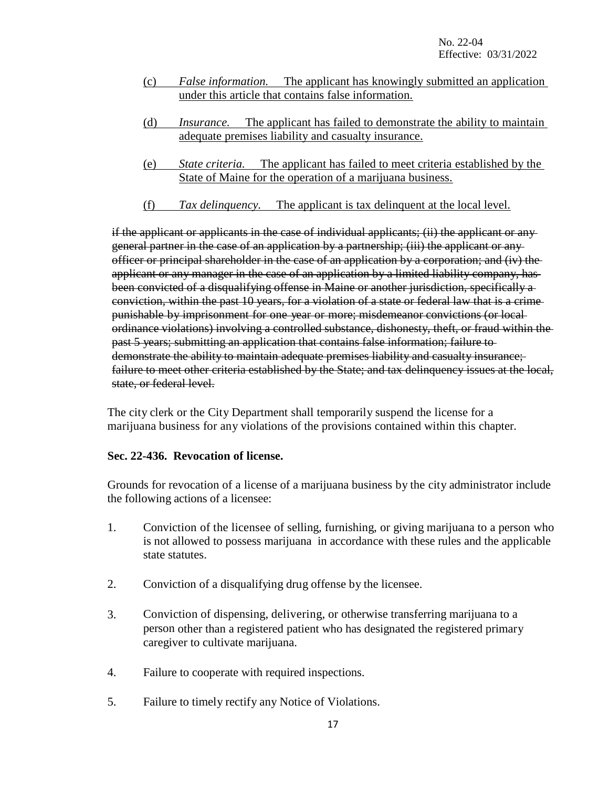- (c) *False information.* The applicant has knowingly submitted an application under this article that contains false information.
- (d) *Insurance.* The applicant has failed to demonstrate the ability to maintain adequate premises liability and casualty insurance.
- (e) *State criteria.* The applicant has failed to meet criteria established by the State of Maine for the operation of a marijuana business.
- (f) *Tax delinquency.* The applicant is tax delinquent at the local level.

if the applicant or applicants in the case of individual applicants; (ii) the applicant or any general partner in the case of an application by a partnership; (iii) the applicant or any officer or principal shareholder in the case of an application by a corporation; and (iv) the applicant or any manager in the case of an application by a limited liability company, has been convicted of a disqualifying offense in Maine or another jurisdiction, specifically aconviction, within the past 10 years, for a violation of a state or federal law that is a crime punishable by imprisonment for one year or more; misdemeanor convictions (or local ordinance violations) involving a controlled substance, dishonesty, theft, or fraud within the past 5 years; submitting an application that contains false information; failure to demonstrate the ability to maintain adequate premises liability and casualty insurance; failure to meet other criteria established by the State; and tax delinquency issues at the local, state, or federal level.

The city clerk or the City Department shall temporarily suspend the license for a marijuana business for any violations of the provisions contained within this chapter.

### **Sec. 22-436. Revocation of license.**

Grounds for revocation of a license of a marijuana business by the city administrator include the following actions of a licensee:

- 1. Conviction of the licensee of selling, furnishing, or giving marijuana to a person who is not allowed to possess marijuana in accordance with these rules and the applicable state statutes.
- 2. Conviction of a disqualifying drug offense by the licensee.
- 3. Conviction of dispensing, delivering, or otherwise transferring marijuana to a person other than a registered patient who has designated the registered primary caregiver to cultivate marijuana.
- 4. Failure to cooperate with required inspections.
- 5. Failure to timely rectify any Notice of Violations.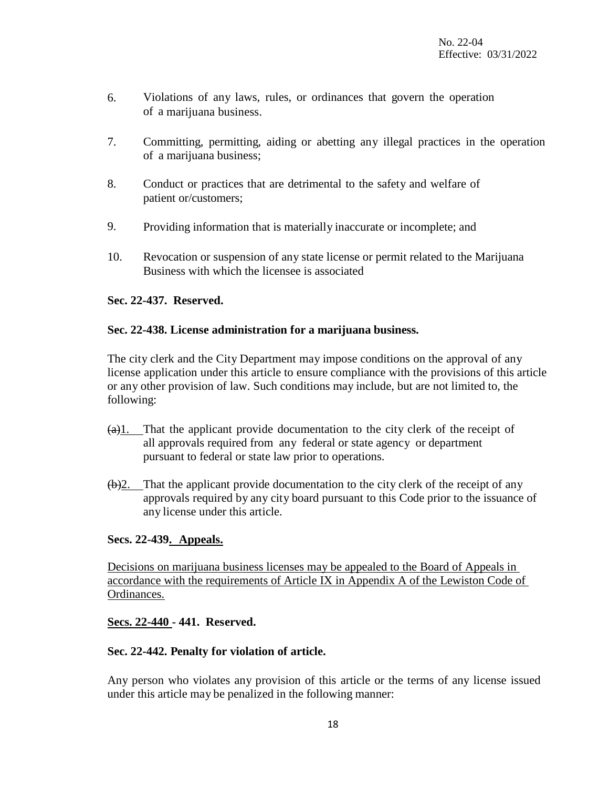- 6. Violations of any laws, rules, or ordinances that govern the operation of a marijuana business.
- 7. Committing, permitting, aiding or abetting any illegal practices in the operation of a marijuana business;
- 8. Conduct or practices that are detrimental to the safety and welfare of patient or/customers;
- 9. Providing information that is materially inaccurate or incomplete; and
- 10. Revocation or suspension of any state license or permit related to the Marijuana Business with which the licensee is associated

### **Sec. 22-437. Reserved.**

### **Sec. 22-438. License administration for a marijuana business.**

The city clerk and the City Department may impose conditions on the approval of any license application under this article to ensure compliance with the provisions of this article or any other provision of law. Such conditions may include, but are not limited to, the following:

- $(a)$ 1. That the applicant provide documentation to the city clerk of the receipt of all approvals required from any federal or state agency or department pursuant to federal or state law prior to operations.
- $(b)$ 2. That the applicant provide documentation to the city clerk of the receipt of any approvals required by any city board pursuant to this Code prior to the issuance of any license under this article.

### **Secs. 22-439. Appeals.**

Decisions on marijuana business licenses may be appealed to the Board of Appeals in accordance with the requirements of Article IX in Appendix A of the Lewiston Code of Ordinances.

### **Secs. 22-440 - 441. Reserved.**

### **Sec. 22-442. Penalty for violation of article.**

Any person who violates any provision of this article or the terms of any license issued under this article may be penalized in the following manner: